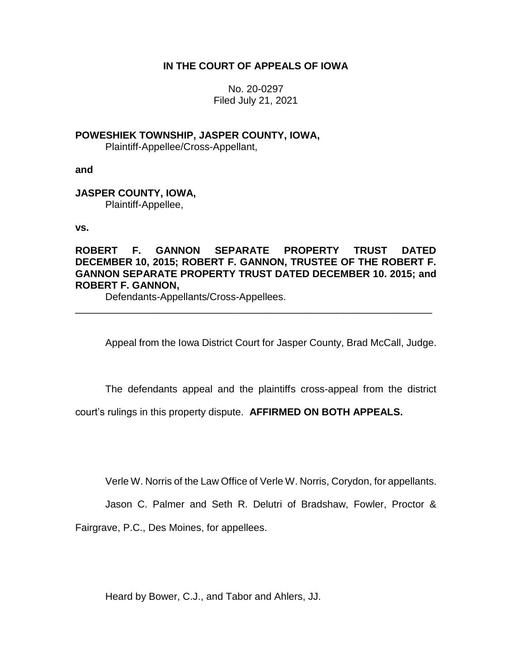# **IN THE COURT OF APPEALS OF IOWA**

No. 20-0297 Filed July 21, 2021

**POWESHIEK TOWNSHIP, JASPER COUNTY, IOWA,**

Plaintiff-Appellee/Cross-Appellant,

**and**

**JASPER COUNTY, IOWA,** Plaintiff-Appellee,

**vs.**

**ROBERT F. GANNON SEPARATE PROPERTY TRUST DATED DECEMBER 10, 2015; ROBERT F. GANNON, TRUSTEE OF THE ROBERT F. GANNON SEPARATE PROPERTY TRUST DATED DECEMBER 10. 2015; and ROBERT F. GANNON,**

\_\_\_\_\_\_\_\_\_\_\_\_\_\_\_\_\_\_\_\_\_\_\_\_\_\_\_\_\_\_\_\_\_\_\_\_\_\_\_\_\_\_\_\_\_\_\_\_\_\_\_\_\_\_\_\_\_\_\_\_\_\_\_\_

Defendants-Appellants/Cross-Appellees.

Appeal from the Iowa District Court for Jasper County, Brad McCall, Judge.

The defendants appeal and the plaintiffs cross-appeal from the district

court's rulings in this property dispute. **AFFIRMED ON BOTH APPEALS.**

Verle W. Norris of the Law Office of Verle W. Norris, Corydon, for appellants.

Jason C. Palmer and Seth R. Delutri of Bradshaw, Fowler, Proctor &

Fairgrave, P.C., Des Moines, for appellees.

Heard by Bower, C.J., and Tabor and Ahlers, JJ.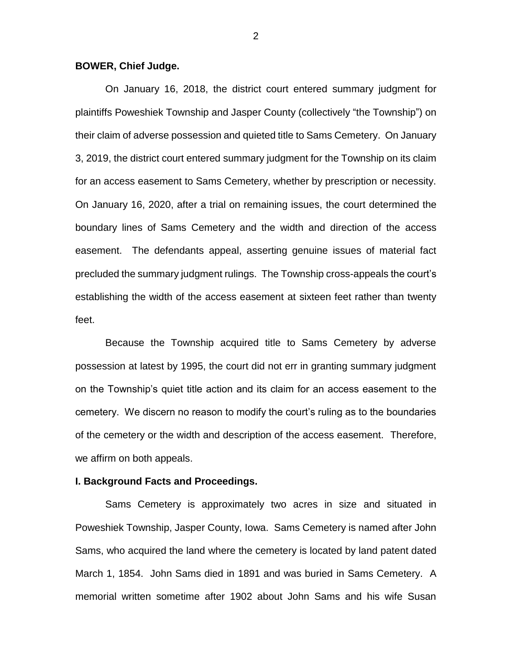#### **BOWER, Chief Judge.**

On January 16, 2018, the district court entered summary judgment for plaintiffs Poweshiek Township and Jasper County (collectively "the Township") on their claim of adverse possession and quieted title to Sams Cemetery. On January 3, 2019, the district court entered summary judgment for the Township on its claim for an access easement to Sams Cemetery, whether by prescription or necessity. On January 16, 2020, after a trial on remaining issues, the court determined the boundary lines of Sams Cemetery and the width and direction of the access easement. The defendants appeal, asserting genuine issues of material fact precluded the summary judgment rulings. The Township cross-appeals the court's establishing the width of the access easement at sixteen feet rather than twenty feet.

Because the Township acquired title to Sams Cemetery by adverse possession at latest by 1995, the court did not err in granting summary judgment on the Township's quiet title action and its claim for an access easement to the cemetery. We discern no reason to modify the court's ruling as to the boundaries of the cemetery or the width and description of the access easement. Therefore, we affirm on both appeals.

#### **I. Background Facts and Proceedings.**

Sams Cemetery is approximately two acres in size and situated in Poweshiek Township, Jasper County, Iowa. Sams Cemetery is named after John Sams, who acquired the land where the cemetery is located by land patent dated March 1, 1854. John Sams died in 1891 and was buried in Sams Cemetery. A memorial written sometime after 1902 about John Sams and his wife Susan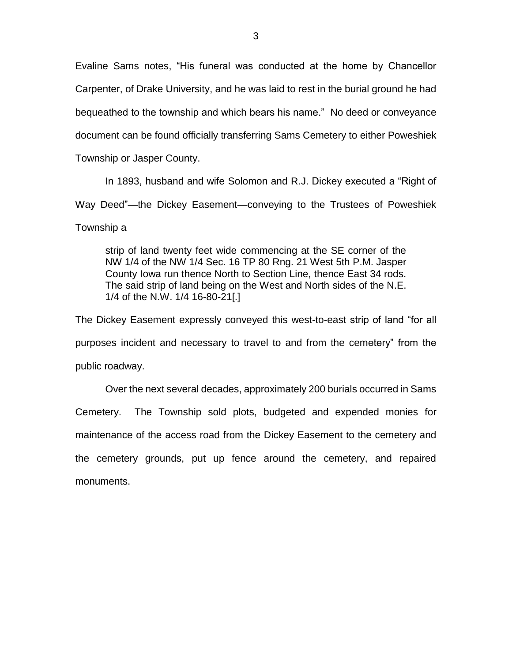Evaline Sams notes, "His funeral was conducted at the home by Chancellor Carpenter, of Drake University, and he was laid to rest in the burial ground he had bequeathed to the township and which bears his name." No deed or conveyance document can be found officially transferring Sams Cemetery to either Poweshiek Township or Jasper County.

In 1893, husband and wife Solomon and R.J. Dickey executed a "Right of Way Deed"—the Dickey Easement—conveying to the Trustees of Poweshiek

Township a

strip of land twenty feet wide commencing at the SE corner of the NW 1/4 of the NW 1/4 Sec. 16 TP 80 Rng. 21 West 5th P.M. Jasper County Iowa run thence North to Section Line, thence East 34 rods. The said strip of land being on the West and North sides of the N.E. 1/4 of the N.W. 1/4 16-80-21[.]

The Dickey Easement expressly conveyed this west-to-east strip of land "for all purposes incident and necessary to travel to and from the cemetery" from the public roadway.

Over the next several decades, approximately 200 burials occurred in Sams Cemetery. The Township sold plots, budgeted and expended monies for maintenance of the access road from the Dickey Easement to the cemetery and the cemetery grounds, put up fence around the cemetery, and repaired monuments.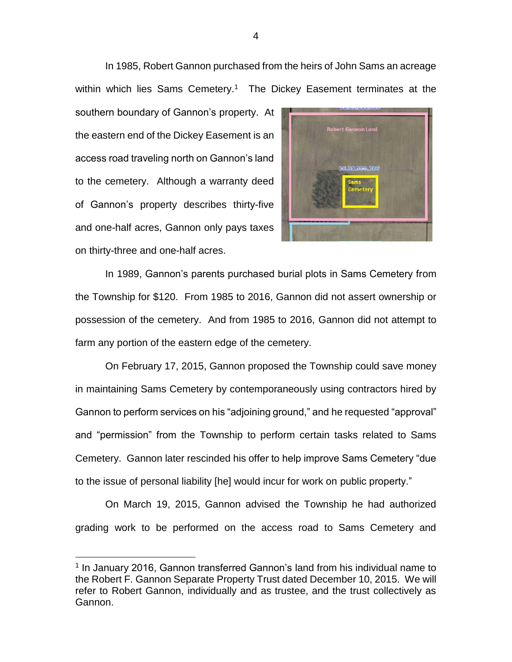In 1985, Robert Gannon purchased from the heirs of John Sams an acreage within which lies Sams Cemetery.<sup>1</sup> The Dickey Easement terminates at the

southern boundary of Gannon's property. At the eastern end of the Dickey Easement is an access road traveling north on Gannon's land to the cemetery. Although a warranty deed of Gannon's property describes thirty-five and one-half acres, Gannon only pays taxes on thirty-three and one-half acres.

 $\overline{a}$ 



In 1989, Gannon's parents purchased burial plots in Sams Cemetery from the Township for \$120. From 1985 to 2016, Gannon did not assert ownership or possession of the cemetery. And from 1985 to 2016, Gannon did not attempt to farm any portion of the eastern edge of the cemetery.

On February 17, 2015, Gannon proposed the Township could save money in maintaining Sams Cemetery by contemporaneously using contractors hired by Gannon to perform services on his "adjoining ground," and he requested "approval" and "permission" from the Township to perform certain tasks related to Sams Cemetery. Gannon later rescinded his offer to help improve Sams Cemetery "due to the issue of personal liability [he] would incur for work on public property."

On March 19, 2015, Gannon advised the Township he had authorized grading work to be performed on the access road to Sams Cemetery and

<sup>&</sup>lt;sup>1</sup> In January 2016, Gannon transferred Gannon's land from his individual name to the Robert F. Gannon Separate Property Trust dated December 10, 2015. We will refer to Robert Gannon, individually and as trustee, and the trust collectively as Gannon.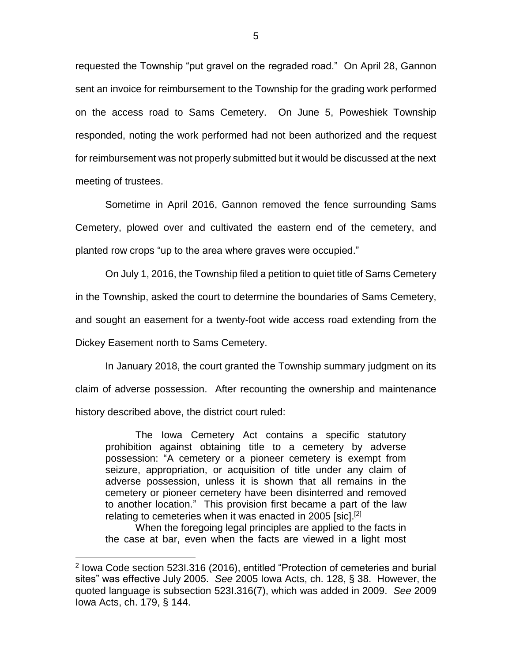requested the Township "put gravel on the regraded road." On April 28, Gannon sent an invoice for reimbursement to the Township for the grading work performed on the access road to Sams Cemetery. On June 5, Poweshiek Township responded, noting the work performed had not been authorized and the request for reimbursement was not properly submitted but it would be discussed at the next meeting of trustees.

Sometime in April 2016, Gannon removed the fence surrounding Sams Cemetery, plowed over and cultivated the eastern end of the cemetery, and planted row crops "up to the area where graves were occupied."

On July 1, 2016, the Township filed a petition to quiet title of Sams Cemetery in the Township, asked the court to determine the boundaries of Sams Cemetery, and sought an easement for a twenty-foot wide access road extending from the Dickey Easement north to Sams Cemetery.

In January 2018, the court granted the Township summary judgment on its claim of adverse possession. After recounting the ownership and maintenance history described above, the district court ruled:

The Iowa Cemetery Act contains a specific statutory prohibition against obtaining title to a cemetery by adverse possession: "A cemetery or a pioneer cemetery is exempt from seizure, appropriation, or acquisition of title under any claim of adverse possession, unless it is shown that all remains in the cemetery or pioneer cemetery have been disinterred and removed to another location." This provision first became a part of the law relating to cemeteries when it was enacted in 2005 [sic].<sup>[2]</sup>

When the foregoing legal principles are applied to the facts in the case at bar, even when the facts are viewed in a light most

 $\overline{a}$ 

<sup>&</sup>lt;sup>2</sup> Iowa Code section 523I.316 (2016), entitled "Protection of cemeteries and burial sites" was effective July 2005. *See* 2005 Iowa Acts, ch. 128, § 38. However, the quoted language is subsection 523I.316(7), which was added in 2009. *See* 2009 Iowa Acts, ch. 179, § 144.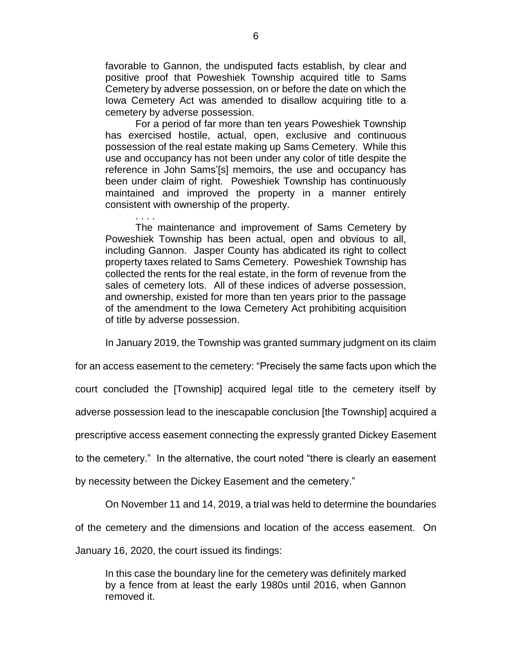favorable to Gannon, the undisputed facts establish, by clear and positive proof that Poweshiek Township acquired title to Sams Cemetery by adverse possession, on or before the date on which the Iowa Cemetery Act was amended to disallow acquiring title to a cemetery by adverse possession.

For a period of far more than ten years Poweshiek Township has exercised hostile, actual, open, exclusive and continuous possession of the real estate making up Sams Cemetery. While this use and occupancy has not been under any color of title despite the reference in John Sams'[s] memoirs, the use and occupancy has been under claim of right. Poweshiek Township has continuously maintained and improved the property in a manner entirely consistent with ownership of the property.

The maintenance and improvement of Sams Cemetery by Poweshiek Township has been actual, open and obvious to all, including Gannon. Jasper County has abdicated its right to collect property taxes related to Sams Cemetery. Poweshiek Township has collected the rents for the real estate, in the form of revenue from the sales of cemetery lots. All of these indices of adverse possession, and ownership, existed for more than ten years prior to the passage of the amendment to the Iowa Cemetery Act prohibiting acquisition of title by adverse possession.

In January 2019, the Township was granted summary judgment on its claim

for an access easement to the cemetery: "Precisely the same facts upon which the

court concluded the [Township] acquired legal title to the cemetery itself by

adverse possession lead to the inescapable conclusion [the Township] acquired a

prescriptive access easement connecting the expressly granted Dickey Easement

to the cemetery." In the alternative, the court noted "there is clearly an easement

by necessity between the Dickey Easement and the cemetery."

On November 11 and 14, 2019, a trial was held to determine the boundaries

of the cemetery and the dimensions and location of the access easement. On

January 16, 2020, the court issued its findings:

. . . .

In this case the boundary line for the cemetery was definitely marked by a fence from at least the early 1980s until 2016, when Gannon removed it.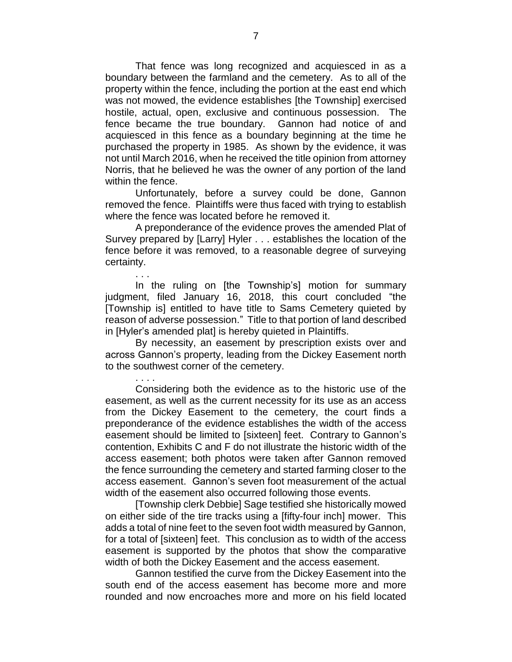That fence was long recognized and acquiesced in as a boundary between the farmland and the cemetery. As to all of the property within the fence, including the portion at the east end which was not mowed, the evidence establishes [the Township] exercised hostile, actual, open, exclusive and continuous possession. The fence became the true boundary. Gannon had notice of and acquiesced in this fence as a boundary beginning at the time he purchased the property in 1985. As shown by the evidence, it was not until March 2016, when he received the title opinion from attorney Norris, that he believed he was the owner of any portion of the land within the fence.

Unfortunately, before a survey could be done, Gannon removed the fence. Plaintiffs were thus faced with trying to establish where the fence was located before he removed it.

A preponderance of the evidence proves the amended Plat of Survey prepared by [Larry] Hyler . . . establishes the location of the fence before it was removed, to a reasonable degree of surveying certainty.

. . .

. . . .

In the ruling on [the Township's] motion for summary judgment, filed January 16, 2018, this court concluded "the [Township is] entitled to have title to Sams Cemetery quieted by reason of adverse possession." Title to that portion of land described in [Hyler's amended plat] is hereby quieted in Plaintiffs.

By necessity, an easement by prescription exists over and across Gannon's property, leading from the Dickey Easement north to the southwest corner of the cemetery.

Considering both the evidence as to the historic use of the easement, as well as the current necessity for its use as an access from the Dickey Easement to the cemetery, the court finds a preponderance of the evidence establishes the width of the access easement should be limited to [sixteen] feet. Contrary to Gannon's contention, Exhibits C and F do not illustrate the historic width of the access easement; both photos were taken after Gannon removed the fence surrounding the cemetery and started farming closer to the access easement. Gannon's seven foot measurement of the actual width of the easement also occurred following those events.

[Township clerk Debbie] Sage testified she historically mowed on either side of the tire tracks using a [fifty-four inch] mower. This adds a total of nine feet to the seven foot width measured by Gannon, for a total of [sixteen] feet. This conclusion as to width of the access easement is supported by the photos that show the comparative width of both the Dickey Easement and the access easement.

Gannon testified the curve from the Dickey Easement into the south end of the access easement has become more and more rounded and now encroaches more and more on his field located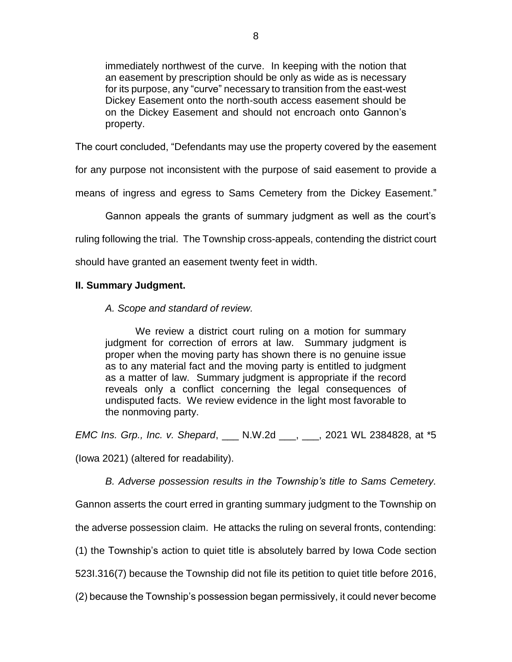immediately northwest of the curve. In keeping with the notion that an easement by prescription should be only as wide as is necessary for its purpose, any "curve" necessary to transition from the east-west Dickey Easement onto the north-south access easement should be on the Dickey Easement and should not encroach onto Gannon's property.

The court concluded, "Defendants may use the property covered by the easement

for any purpose not inconsistent with the purpose of said easement to provide a

means of ingress and egress to Sams Cemetery from the Dickey Easement."

Gannon appeals the grants of summary judgment as well as the court's

ruling following the trial. The Township cross-appeals, contending the district court

should have granted an easement twenty feet in width.

## **II. Summary Judgment.**

*A. Scope and standard of review.*

We review a district court ruling on a motion for summary judgment for correction of errors at law. Summary judgment is proper when the moving party has shown there is no genuine issue as to any material fact and the moving party is entitled to judgment as a matter of law. Summary judgment is appropriate if the record reveals only a conflict concerning the legal consequences of undisputed facts. We review evidence in the light most favorable to the nonmoving party.

*EMC Ins. Grp., Inc. v. Shepard*, \_\_\_ N.W.2d \_\_\_, \_\_\_, 2021 WL 2384828, at \*5

(Iowa 2021) (altered for readability).

*B. Adverse possession results in the Township's title to Sams Cemetery.*

Gannon asserts the court erred in granting summary judgment to the Township on

the adverse possession claim. He attacks the ruling on several fronts, contending:

(1) the Township's action to quiet title is absolutely barred by Iowa Code section

523I.316(7) because the Township did not file its petition to quiet title before 2016,

(2) because the Township's possession began permissively, it could never become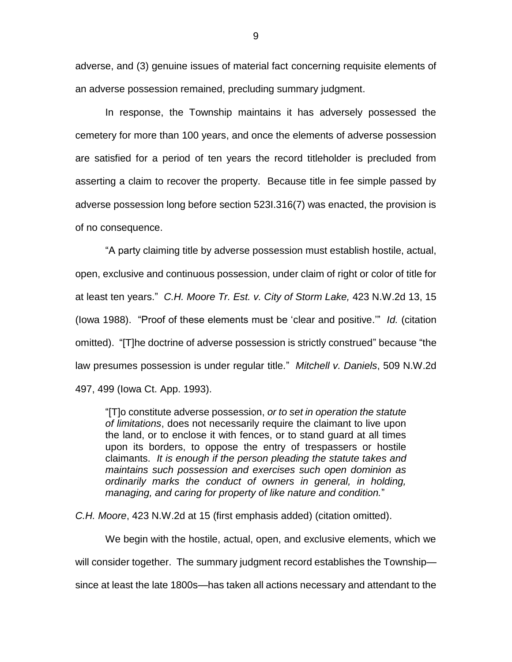adverse, and (3) genuine issues of material fact concerning requisite elements of an adverse possession remained, precluding summary judgment.

In response, the Township maintains it has adversely possessed the cemetery for more than 100 years, and once the elements of adverse possession are satisfied for a period of ten years the record titleholder is precluded from asserting a claim to recover the property. Because title in fee simple passed by adverse possession long before section 523I.316(7) was enacted, the provision is of no consequence.

"A party claiming title by adverse possession must establish hostile, actual, open, exclusive and continuous possession, under claim of right or color of title for at least ten years." *C.H. Moore Tr. Est. v. City of Storm Lake,* 423 N.W.2d 13, 15 (Iowa 1988). "Proof of these elements must be 'clear and positive.'" *Id.* (citation omitted). "[T]he doctrine of adverse possession is strictly construed" because "the law presumes possession is under regular title." *Mitchell v. Daniels*, 509 N.W.2d 497, 499 (Iowa Ct. App. 1993).

"[T]o constitute adverse possession, *or to set in operation the statute of limitations*, does not necessarily require the claimant to live upon the land, or to enclose it with fences, or to stand guard at all times upon its borders, to oppose the entry of trespassers or hostile claimants. *It is enough if the person pleading the statute takes and maintains such possession and exercises such open dominion as ordinarily marks the conduct of owners in general, in holding, managing, and caring for property of like nature and condition.*"

*C.H. Moore*, 423 N.W.2d at 15 (first emphasis added) (citation omitted).

We begin with the hostile, actual, open, and exclusive elements, which we will consider together. The summary judgment record establishes the Township since at least the late 1800s—has taken all actions necessary and attendant to the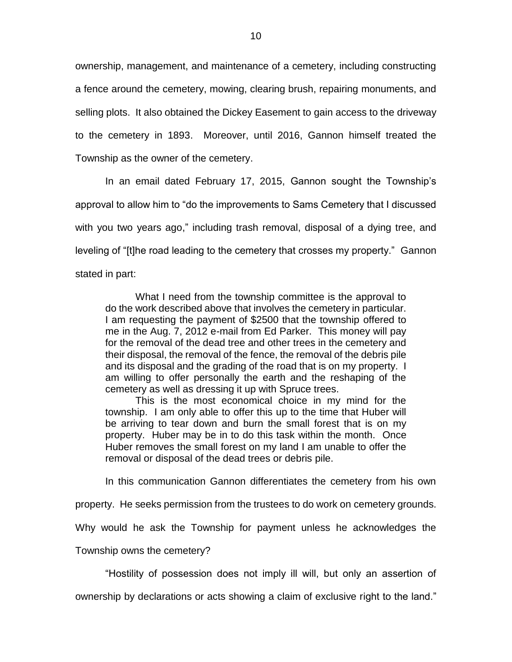ownership, management, and maintenance of a cemetery, including constructing a fence around the cemetery, mowing, clearing brush, repairing monuments, and selling plots. It also obtained the Dickey Easement to gain access to the driveway to the cemetery in 1893. Moreover, until 2016, Gannon himself treated the Township as the owner of the cemetery.

In an email dated February 17, 2015, Gannon sought the Township's approval to allow him to "do the improvements to Sams Cemetery that I discussed with you two years ago," including trash removal, disposal of a dying tree, and leveling of "[t]he road leading to the cemetery that crosses my property." Gannon stated in part:

What I need from the township committee is the approval to do the work described above that involves the cemetery in particular. I am requesting the payment of \$2500 that the township offered to me in the Aug. 7, 2012 e-mail from Ed Parker. This money will pay for the removal of the dead tree and other trees in the cemetery and their disposal, the removal of the fence, the removal of the debris pile and its disposal and the grading of the road that is on my property. I am willing to offer personally the earth and the reshaping of the cemetery as well as dressing it up with Spruce trees.

This is the most economical choice in my mind for the township. I am only able to offer this up to the time that Huber will be arriving to tear down and burn the small forest that is on my property. Huber may be in to do this task within the month. Once Huber removes the small forest on my land I am unable to offer the removal or disposal of the dead trees or debris pile.

In this communication Gannon differentiates the cemetery from his own

property. He seeks permission from the trustees to do work on cemetery grounds.

Why would he ask the Township for payment unless he acknowledges the

Township owns the cemetery?

"Hostility of possession does not imply ill will, but only an assertion of

ownership by declarations or acts showing a claim of exclusive right to the land."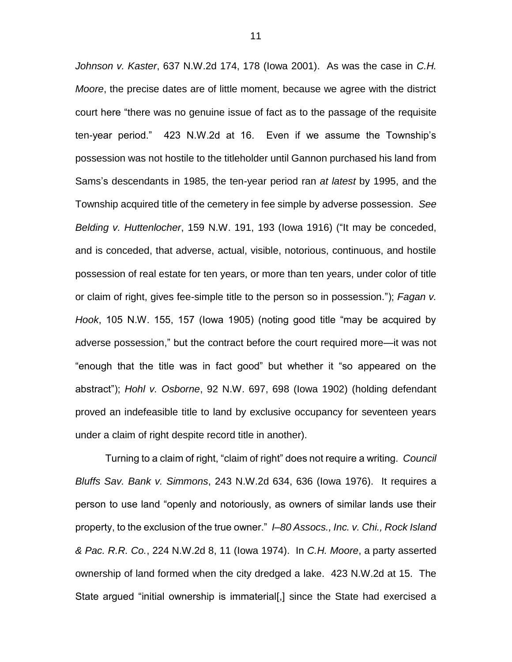*Johnson v. Kaster*, 637 N.W.2d 174, 178 (Iowa 2001). As was the case in *C.H. Moore*, the precise dates are of little moment, because we agree with the district court here "there was no genuine issue of fact as to the passage of the requisite ten-year period." 423 N.W.2d at 16. Even if we assume the Township's possession was not hostile to the titleholder until Gannon purchased his land from Sams's descendants in 1985, the ten-year period ran *at latest* by 1995, and the Township acquired title of the cemetery in fee simple by adverse possession. *See Belding v. Huttenlocher*, 159 N.W. 191, 193 (Iowa 1916) ("It may be conceded, and is conceded, that adverse, actual, visible, notorious, continuous, and hostile possession of real estate for ten years, or more than ten years, under color of title or claim of right, gives fee-simple title to the person so in possession."); *Fagan v. Hook*, 105 N.W. 155, 157 (Iowa 1905) (noting good title "may be acquired by adverse possession," but the contract before the court required more—it was not "enough that the title was in fact good" but whether it "so appeared on the abstract"); *Hohl v. Osborne*, 92 N.W. 697, 698 (Iowa 1902) (holding defendant proved an indefeasible title to land by exclusive occupancy for seventeen years under a claim of right despite record title in another).

Turning to a claim of right, "claim of right" does not require a writing. *Council Bluffs Sav. Bank v. Simmons*, 243 N.W.2d 634, 636 (Iowa 1976). It requires a person to use land "openly and notoriously, as owners of similar lands use their property, to the exclusion of the true owner." *I–80 Assocs., Inc. v. Chi., Rock Island & Pac. R.R. Co.*, 224 N.W.2d 8, 11 (Iowa 1974). In *C.H. Moore*, a party asserted ownership of land formed when the city dredged a lake. 423 N.W.2d at 15. The State argued "initial ownership is immaterial[,] since the State had exercised a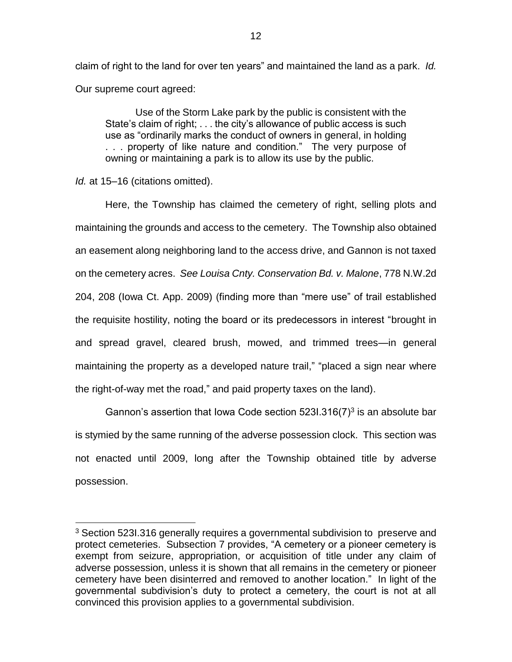claim of right to the land for over ten years" and maintained the land as a park. *Id.*  Our supreme court agreed:

Use of the Storm Lake park by the public is consistent with the State's claim of right; . . . the city's allowance of public access is such use as "ordinarily marks the conduct of owners in general, in holding . . . property of like nature and condition." The very purpose of owning or maintaining a park is to allow its use by the public.

*Id.* at 15–16 (citations omitted).

 $\overline{a}$ 

Here, the Township has claimed the cemetery of right, selling plots and maintaining the grounds and access to the cemetery. The Township also obtained an easement along neighboring land to the access drive, and Gannon is not taxed on the cemetery acres. *See Louisa Cnty. Conservation Bd. v. Malone*, 778 N.W.2d 204, 208 (Iowa Ct. App. 2009) (finding more than "mere use" of trail established the requisite hostility, noting the board or its predecessors in interest "brought in and spread gravel, cleared brush, mowed, and trimmed trees—in general maintaining the property as a developed nature trail," "placed a sign near where the right-of-way met the road," and paid property taxes on the land).

Gannon's assertion that Iowa Code section  $5231.316(7)^3$  is an absolute bar is stymied by the same running of the adverse possession clock. This section was not enacted until 2009, long after the Township obtained title by adverse possession.

<sup>&</sup>lt;sup>3</sup> Section 523I.316 generally requires a governmental subdivision to preserve and protect cemeteries. Subsection 7 provides, "A cemetery or a pioneer cemetery is exempt from seizure, appropriation, or acquisition of title under any claim of adverse possession, unless it is shown that all remains in the cemetery or pioneer cemetery have been disinterred and removed to another location." In light of the governmental subdivision's duty to protect a cemetery, the court is not at all convinced this provision applies to a governmental subdivision.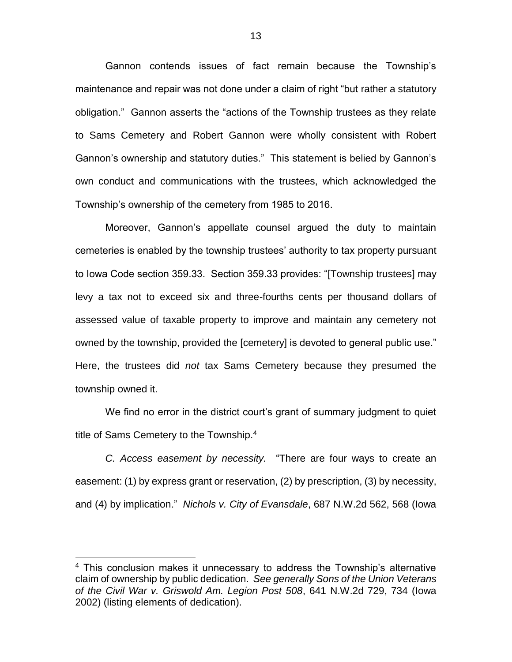Gannon contends issues of fact remain because the Township's maintenance and repair was not done under a claim of right "but rather a statutory obligation." Gannon asserts the "actions of the Township trustees as they relate to Sams Cemetery and Robert Gannon were wholly consistent with Robert Gannon's ownership and statutory duties." This statement is belied by Gannon's own conduct and communications with the trustees, which acknowledged the Township's ownership of the cemetery from 1985 to 2016.

Moreover, Gannon's appellate counsel argued the duty to maintain cemeteries is enabled by the township trustees' authority to tax property pursuant to Iowa Code section 359.33. Section 359.33 provides: "[Township trustees] may levy a tax not to exceed six and three-fourths cents per thousand dollars of assessed value of taxable property to improve and maintain any cemetery not owned by the township, provided the [cemetery] is devoted to general public use." Here, the trustees did *not* tax Sams Cemetery because they presumed the township owned it.

We find no error in the district court's grant of summary judgment to quiet title of Sams Cemetery to the Township.<sup>4</sup>

*C. Access easement by necessity.* "There are four ways to create an easement: (1) by express grant or reservation, (2) by prescription, (3) by necessity, and (4) by implication." *Nichols v. City of Evansdale*, 687 N.W.2d 562, 568 (Iowa

 $\overline{a}$ 

<sup>&</sup>lt;sup>4</sup> This conclusion makes it unnecessary to address the Township's alternative claim of ownership by public dedication. *See generally Sons of the Union Veterans of the Civil War v. Griswold Am. Legion Post 508*, 641 N.W.2d 729, 734 (Iowa 2002) (listing elements of dedication).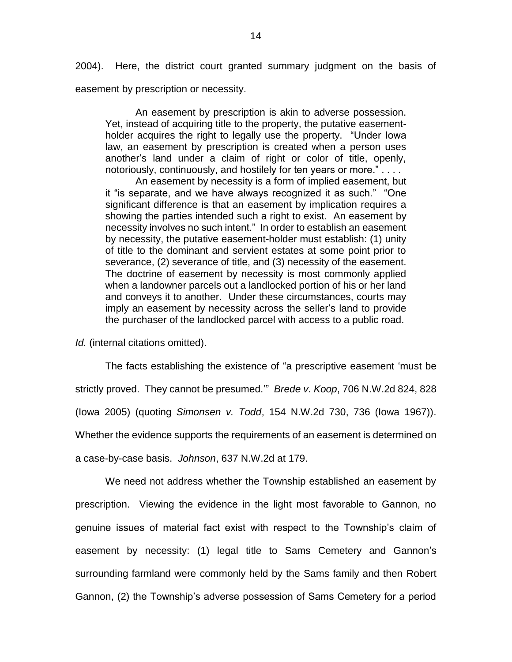2004). Here, the district court granted summary judgment on the basis of easement by prescription or necessity.

An easement by prescription is akin to adverse possession. Yet, instead of acquiring title to the property, the putative easementholder acquires the right to legally use the property. "Under Iowa law, an easement by prescription is created when a person uses another's land under a claim of right or color of title, openly, notoriously, continuously, and hostilely for ten years or more." . . . .

An easement by necessity is a form of implied easement, but it "is separate, and we have always recognized it as such." "One significant difference is that an easement by implication requires a showing the parties intended such a right to exist. An easement by necessity involves no such intent." In order to establish an easement by necessity, the putative easement-holder must establish: (1) unity of title to the dominant and servient estates at some point prior to severance, (2) severance of title, and (3) necessity of the easement. The doctrine of easement by necessity is most commonly applied when a landowner parcels out a landlocked portion of his or her land and conveys it to another. Under these circumstances, courts may imply an easement by necessity across the seller's land to provide the purchaser of the landlocked parcel with access to a public road.

*Id.* (internal citations omitted).

The facts establishing the existence of "a prescriptive easement 'must be strictly proved. They cannot be presumed.'" *Brede v. Koop*, 706 N.W.2d 824, 828 (Iowa 2005) (quoting *Simonsen v. Todd*, 154 N.W.2d 730, 736 (Iowa 1967)). Whether the evidence supports the requirements of an easement is determined on a case-by-case basis. *Johnson*, 637 N.W.2d at 179.

We need not address whether the Township established an easement by prescription. Viewing the evidence in the light most favorable to Gannon, no genuine issues of material fact exist with respect to the Township's claim of easement by necessity: (1) legal title to Sams Cemetery and Gannon's surrounding farmland were commonly held by the Sams family and then Robert Gannon, (2) the Township's adverse possession of Sams Cemetery for a period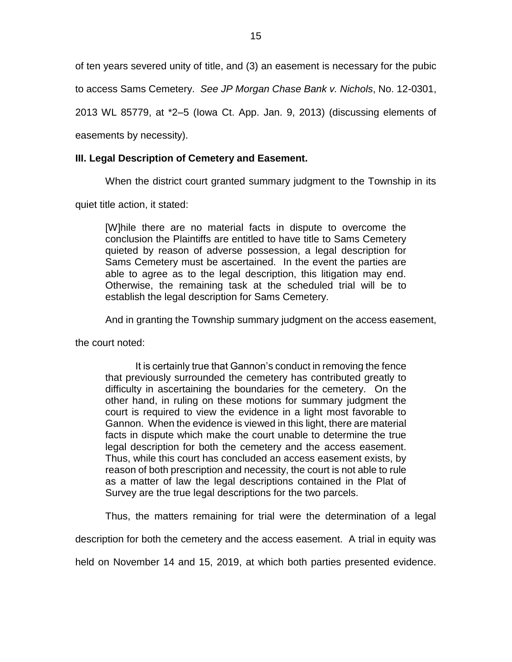of ten years severed unity of title, and (3) an easement is necessary for the pubic

to access Sams Cemetery. *See JP Morgan Chase Bank v. Nichols*, No. 12-0301,

2013 WL 85779, at \*2–5 (Iowa Ct. App. Jan. 9, 2013) (discussing elements of

easements by necessity).

# **III. Legal Description of Cemetery and Easement.**

When the district court granted summary judgment to the Township in its

quiet title action, it stated:

[W]hile there are no material facts in dispute to overcome the conclusion the Plaintiffs are entitled to have title to Sams Cemetery quieted by reason of adverse possession, a legal description for Sams Cemetery must be ascertained. In the event the parties are able to agree as to the legal description, this litigation may end. Otherwise, the remaining task at the scheduled trial will be to establish the legal description for Sams Cemetery.

And in granting the Township summary judgment on the access easement,

the court noted:

It is certainly true that Gannon's conduct in removing the fence that previously surrounded the cemetery has contributed greatly to difficulty in ascertaining the boundaries for the cemetery. On the other hand, in ruling on these motions for summary judgment the court is required to view the evidence in a light most favorable to Gannon. When the evidence is viewed in this light, there are material facts in dispute which make the court unable to determine the true legal description for both the cemetery and the access easement. Thus, while this court has concluded an access easement exists, by reason of both prescription and necessity, the court is not able to rule as a matter of law the legal descriptions contained in the Plat of Survey are the true legal descriptions for the two parcels.

Thus, the matters remaining for trial were the determination of a legal

description for both the cemetery and the access easement. A trial in equity was

held on November 14 and 15, 2019, at which both parties presented evidence.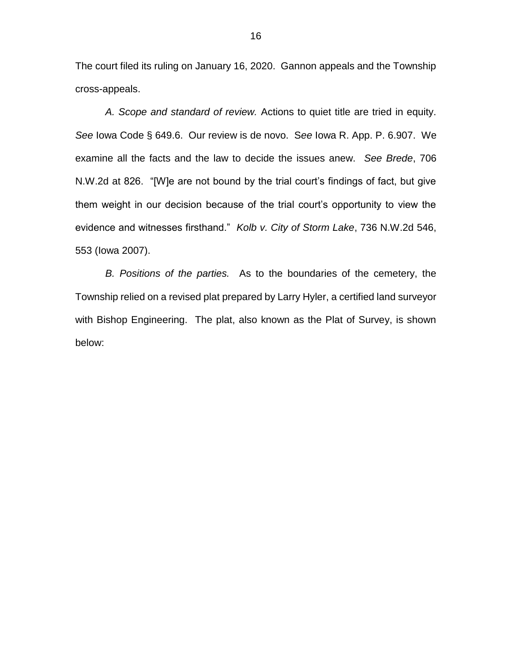The court filed its ruling on January 16, 2020. Gannon appeals and the Township cross-appeals.

*A. Scope and standard of review.* Actions to quiet title are tried in equity. *See* Iowa Code § 649.6. Our review is de novo. S*ee* Iowa R. App. P. 6.907. We examine all the facts and the law to decide the issues anew. *See Brede*, 706 N.W.2d at 826. "[W]e are not bound by the trial court's findings of fact, but give them weight in our decision because of the trial court's opportunity to view the evidence and witnesses firsthand." *Kolb v. City of Storm Lake*, 736 N.W.2d 546, 553 (Iowa 2007).

*B. Positions of the parties.* As to the boundaries of the cemetery, the Township relied on a revised plat prepared by Larry Hyler, a certified land surveyor with Bishop Engineering. The plat, also known as the Plat of Survey, is shown below: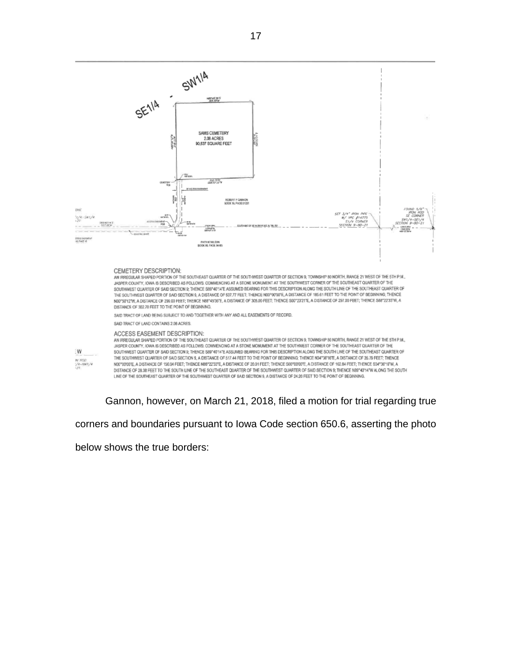

#### ACCESS EASEMENT DESCRIPTION:

AN IRREGULAR SHAPED PORTION OF THE SOUTHEAST QUARTER OF THE SOUTHWEST QUARTER OF SECTION 9, TOWNSHIP 90 NORTH, RANGE 21 WEST OF THE 5TH P.M., JASPER COUNTY, IOWA IS DESCRIBED AS FOLLOWS: COMMENCING AT A STONE MONUMENT AT THE SOUTHWEST CORNER OF THE SOUTHEAST QUARTER OF THE SOUTHWEST QUARTER OF SAID SECTION 9; THENCE S89'40'14'E ASSUMED BEARING FOR THIS DESCRIPTION ALONG THE SOUTH LINE OF THE SOUTHEAST QUARTER OF THE SOUTHWEST QUARTER OF SAID SECTION 9, A DISTANCE OF 517 A4 FEET TO THE POINT OF BEGINNING. THENCE N34"38"16"E, A DISTANCE OF 35.79 FEET; THENCE N00\*0000'E, A DISTANCE OF 156.04 FEET; THENCE N88\*22'33"E, A DISTANCE OF 20.01 FEET; THENCE S00\*00'00"E, A DISTANCE OF 162.84 FEET; THENCE S34\*36'16"W, A DISTANCE OF 28.38 FEET TO THE SOUTH LINE OF THE SOUTHEAST QUARTER OF THE SOUTHWEST QUARTER OF SAID SECTION 9; THENCE N89"40"14"W ALONG THE SOUTH LINE OF THE SOUTHEAST QUARTER OF THE SOUTHWEST QUARTER OF SAID SECTION 9, A DISTANCE OF 24.20 FEET TO THE POINT OF BEGINNING.

Gannon, however, on March 21, 2018, filed a motion for trial regarding true

corners and boundaries pursuant to Iowa Code section 650.6, asserting the photo

below shows the true borders:

W

in/ 800<br>/4-3007/4<br>-21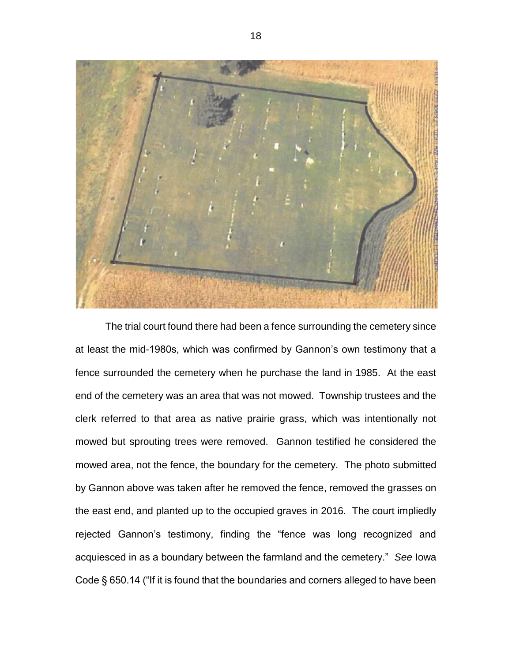

The trial court found there had been a fence surrounding the cemetery since at least the mid-1980s, which was confirmed by Gannon's own testimony that a fence surrounded the cemetery when he purchase the land in 1985. At the east end of the cemetery was an area that was not mowed. Township trustees and the clerk referred to that area as native prairie grass, which was intentionally not mowed but sprouting trees were removed. Gannon testified he considered the mowed area, not the fence, the boundary for the cemetery. The photo submitted by Gannon above was taken after he removed the fence, removed the grasses on the east end, and planted up to the occupied graves in 2016. The court impliedly rejected Gannon's testimony, finding the "fence was long recognized and acquiesced in as a boundary between the farmland and the cemetery." *See* Iowa Code § 650.14 ("If it is found that the boundaries and corners alleged to have been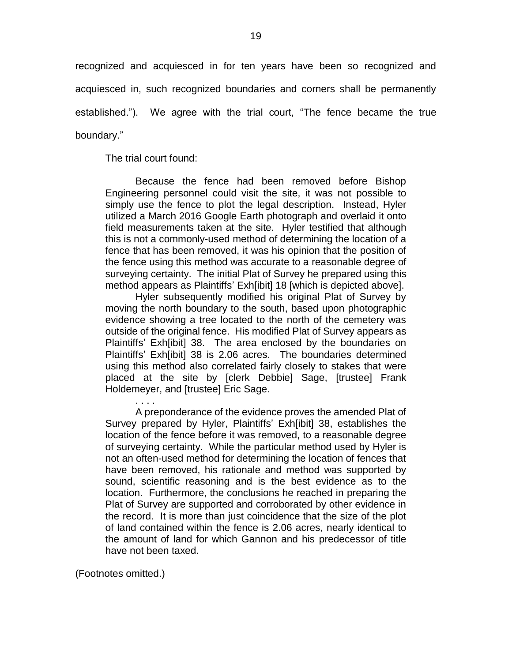recognized and acquiesced in for ten years have been so recognized and acquiesced in, such recognized boundaries and corners shall be permanently established."). We agree with the trial court, "The fence became the true boundary."

The trial court found:

. . . .

Because the fence had been removed before Bishop Engineering personnel could visit the site, it was not possible to simply use the fence to plot the legal description. Instead, Hyler utilized a March 2016 Google Earth photograph and overlaid it onto field measurements taken at the site. Hyler testified that although this is not a commonly-used method of determining the location of a fence that has been removed, it was his opinion that the position of the fence using this method was accurate to a reasonable degree of surveying certainty. The initial Plat of Survey he prepared using this method appears as Plaintiffs' Exh[ibit] 18 [which is depicted above].

Hyler subsequently modified his original Plat of Survey by moving the north boundary to the south, based upon photographic evidence showing a tree located to the north of the cemetery was outside of the original fence. His modified Plat of Survey appears as Plaintiffs' Exh[ibit] 38. The area enclosed by the boundaries on Plaintiffs' Exh[ibit] 38 is 2.06 acres. The boundaries determined using this method also correlated fairly closely to stakes that were placed at the site by [clerk Debbie] Sage, [trustee] Frank Holdemeyer, and [trustee] Eric Sage.

A preponderance of the evidence proves the amended Plat of Survey prepared by Hyler, Plaintiffs' Exh[ibit] 38, establishes the location of the fence before it was removed, to a reasonable degree of surveying certainty. While the particular method used by Hyler is not an often-used method for determining the location of fences that have been removed, his rationale and method was supported by sound, scientific reasoning and is the best evidence as to the location. Furthermore, the conclusions he reached in preparing the Plat of Survey are supported and corroborated by other evidence in the record. It is more than just coincidence that the size of the plot of land contained within the fence is 2.06 acres, nearly identical to the amount of land for which Gannon and his predecessor of title have not been taxed.

(Footnotes omitted.)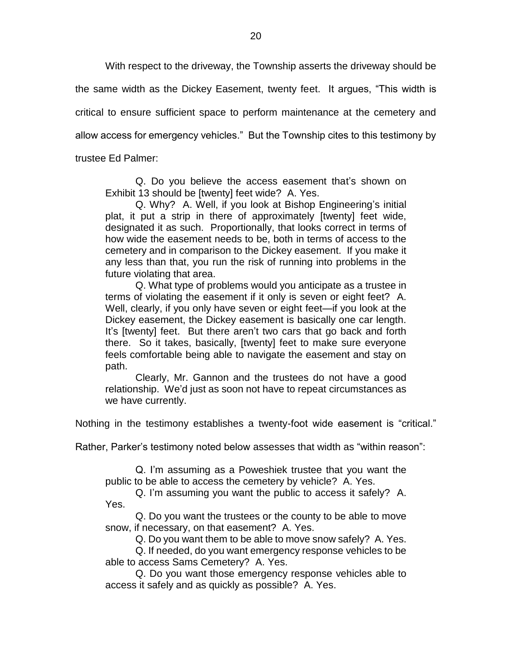With respect to the driveway, the Township asserts the driveway should be the same width as the Dickey Easement, twenty feet. It argues, "This width is critical to ensure sufficient space to perform maintenance at the cemetery and allow access for emergency vehicles." But the Township cites to this testimony by trustee Ed Palmer:

Q. Do you believe the access easement that's shown on Exhibit 13 should be [twenty] feet wide? A. Yes.

Q. Why? A. Well, if you look at Bishop Engineering's initial plat, it put a strip in there of approximately [twenty] feet wide, designated it as such. Proportionally, that looks correct in terms of how wide the easement needs to be, both in terms of access to the cemetery and in comparison to the Dickey easement. If you make it any less than that, you run the risk of running into problems in the future violating that area.

Q. What type of problems would you anticipate as a trustee in terms of violating the easement if it only is seven or eight feet? A. Well, clearly, if you only have seven or eight feet—if you look at the Dickey easement, the Dickey easement is basically one car length. It's [twenty] feet. But there aren't two cars that go back and forth there. So it takes, basically, [twenty] feet to make sure everyone feels comfortable being able to navigate the easement and stay on path.

Clearly, Mr. Gannon and the trustees do not have a good relationship. We'd just as soon not have to repeat circumstances as we have currently.

Nothing in the testimony establishes a twenty-foot wide easement is "critical."

Rather, Parker's testimony noted below assesses that width as "within reason":

Q. I'm assuming as a Poweshiek trustee that you want the public to be able to access the cemetery by vehicle? A. Yes.

Q. I'm assuming you want the public to access it safely? A. Yes.

Q. Do you want the trustees or the county to be able to move snow, if necessary, on that easement? A. Yes.

Q. Do you want them to be able to move snow safely? A. Yes.

Q. If needed, do you want emergency response vehicles to be able to access Sams Cemetery? A. Yes.

Q. Do you want those emergency response vehicles able to access it safely and as quickly as possible? A. Yes.